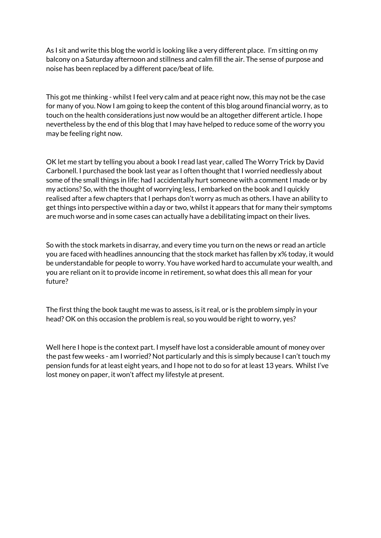As I sit and write this blog the world is looking like a very different place. I'm sitting on my balcony on a Saturday afternoon and stillness and calm fill the air. The sense of purpose and noise has been replaced by a different pace/beat of life.

This got me thinking - whilst I feel very calm and at peace right now, this may not be the case for many of you. Now I am going to keep the content of this blog around financial worry, as to touch on the health considerations just now would be an altogether different article. I hope nevertheless by the end of this blog that I may have helped to reduce some of the worry you may be feeling right now.

OK let me start by telling you about a book I read last year, called The Worry Trick by David Carbonell. I purchased the book last year as I often thought that I worried needlessly about some of the small things in life: had I accidentally hurt someone with a comment I made or by my actions? So, with the thought of worrying less, I embarked on the book and I quickly realised after a few chapters that I perhaps don't worry as much as others. I have an ability to get things into perspective within a day or two, whilst it appears that for many their symptoms are much worse and in some cases can actually have a debilitating impact on their lives.

So with the stock markets in disarray, and every time you turn on the news or read an article you are faced with headlines announcing that the stock market has fallen by x% today, it would be understandable for people to worry. You have worked hard to accumulate your wealth, and you are reliant on it to provide income in retirement, so what does this all mean for your future?

The first thing the book taught me was to assess, is it real, or is the problem simply in your head? OK on this occasion the problem is real, so you would be right to worry, yes?

Well here I hope is the context part. I myself have lost a considerable amount of money over the past few weeks - am I worried? Not particularly and this is simply because I can't touch my pension funds for at least eight years, and I hope not to do so for at least 13 years. Whilst I've lost money on paper, it won't affect my lifestyle at present.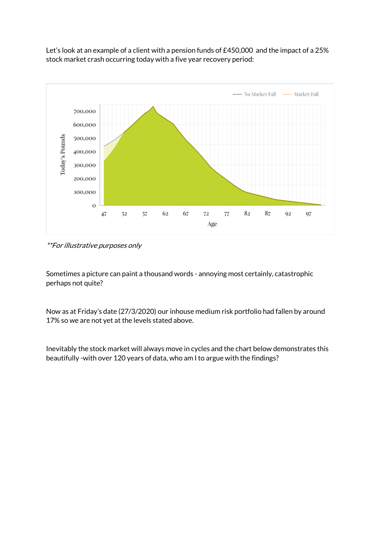Let's look at an example of a client with a pension funds of £450,000 and the impact of a 25% stock market crash occurring today with a five year recovery period:



\*\*For illustrative purposes only

Sometimes a picture can paint a thousand words - annoying most certainly, catastrophic perhaps not quite?

Now as at Friday's date (27/3/2020) our inhouse medium risk portfolio had fallen by around 17% so we are not yet at the levels stated above.

Inevitably the stock market will always move in cycles and the chart below demonstrates this beautifully -with over 120 years of data, who am I to argue with the findings?